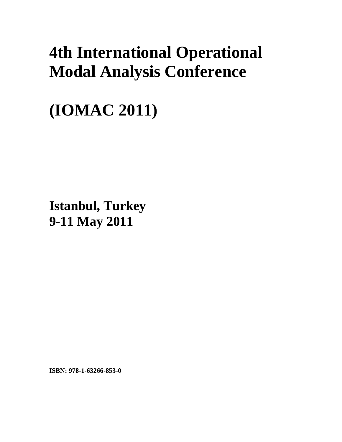## **4th International Operational Modal Analysis Conference**

**(IOMAC 2011)** 

**Istanbul, Turkey 9-11 May 2011**

**ISBN: 978-1-63266-853-0**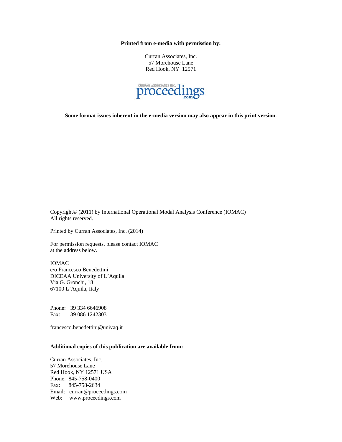**Printed from e-media with permission by:** 

Curran Associates, Inc. 57 Morehouse Lane Red Hook, NY 12571



**Some format issues inherent in the e-media version may also appear in this print version.** 

Copyright© (2011) by International Operational Modal Analysis Conference (IOMAC) All rights reserved.

Printed by Curran Associates, Inc. (2014)

For permission requests, please contact IOMAC at the address below.

IOMAC c/o Francesco Benedettini DICEAA University of L'Aquila Via G. Gronchi, 18 67100 L'Aquila, Italy

Phone: 39 334 6646908 Fax: 39 086 1242303

francesco.benedettini@univaq.it

## **Additional copies of this publication are available from:**

Curran Associates, Inc. 57 Morehouse Lane Red Hook, NY 12571 USA Phone: 845-758-0400 Fax: 845-758-2634 Email: curran@proceedings.com Web: www.proceedings.com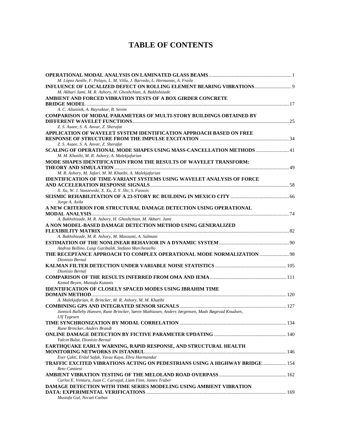## **TABLE OF CONTENTS**

| M. López Aenlle, F. Pelayo, L. M. Villa, J. Barredo, L. Hermanns, A. Fraile                                                          |  |
|--------------------------------------------------------------------------------------------------------------------------------------|--|
| INFLUENCE OF LOCALIZED DEFECT ON ROLLING ELEMENT BEARING VIBRATIONS 9<br>M. Akbari Jami, M. R. Ashory, H. Ghoshchian, A. Bakhshizade |  |
| AMBIENT AND FORCED VIBRATION TESTS OF A BOX GIRDER CONCRETE                                                                          |  |
|                                                                                                                                      |  |
| A. C. Altunisik, A. Bayraktar, B. Sevim                                                                                              |  |
| <b>COMPARISON OF MODAL PARAMETERS OF MULTI-STORY BUILDINGS OBTAINED BY</b>                                                           |  |
|                                                                                                                                      |  |
| Z. S. Asaee, S. A. Anvar, Z. Sherafat                                                                                                |  |
| APPLICATION OF WAVELET SYSTEM IDENTIFICATION APPROACH BASED ON FREE                                                                  |  |
|                                                                                                                                      |  |
| Z. S. Asaee, S. A. Anvar, Z. Sherafat                                                                                                |  |
| SCALING OF OPERATIONAL MODE SHAPES USING MASS-CANCELLATION METHODS  41                                                               |  |
| M. M. Khatibi, M. R. Ashory, A. Malekjafarian                                                                                        |  |
| <b>MODE SHAPES IDENTIFICATION FROM THE RESULTS OF WAVELET TRANSFORM:</b>                                                             |  |
|                                                                                                                                      |  |
| M. R. Ashory, M. Jafari, M. M. Khatibi, A. Malekjafarian                                                                             |  |
| <b>IDENTIFICATION OF TIME-VARIANT SYSTEMS USING WAVELET ANALYSIS OF FORCE</b>                                                        |  |
|                                                                                                                                      |  |
| X. Xu, W. J. Staszewski, X. Xu, Z. Y. Shi, S. Fassois                                                                                |  |
|                                                                                                                                      |  |
| Jorge A. Avila                                                                                                                       |  |
| A NEW CRITERION FOR STRUCTURAL DAMAGE DETECTION USING OPERATIONAL                                                                    |  |
|                                                                                                                                      |  |
| A. Bakhshizade, M. R. Ashory, H. Ghoshchian, M. Akbari. Jami                                                                         |  |
| A NON MODEL-BASED DAMAGE DETECTION METHOD USING GENERALIZED                                                                          |  |
|                                                                                                                                      |  |
| A. Bakhshizade, M. R. Ashory, M. Masoumi, A. Salmani                                                                                 |  |
|                                                                                                                                      |  |
| Andrea Bellino, Luigi Garibaldi, Stefano Marchesiello                                                                                |  |
| THE RECEPTANCE APPROACH TO COMPLEX OPERATIONAL MODE NORMALIZATION  98                                                                |  |
| Dionisio Bernal                                                                                                                      |  |
|                                                                                                                                      |  |
| Dionisio Bernal                                                                                                                      |  |
|                                                                                                                                      |  |
| Kemal Beyen, Mustafa Kutanis                                                                                                         |  |
| <b>IDENTIFICATION OF CLOSELY SPACED MODES USING IBRAHIM TIME</b>                                                                     |  |
|                                                                                                                                      |  |
| A. Malekjafarian, R. Brincker, M. R. Ashory, M. M. Khatibi                                                                           |  |
|                                                                                                                                      |  |
| Jannick Balleby Hansen, Rune Brincker, Søren Mathiasen, Anders Jørgensen, Mads Bøgevad Knudsen,                                      |  |
| <b>Ulf</b> Tygesen                                                                                                                   |  |
|                                                                                                                                      |  |
| Rune Brincker, Anders Brandt                                                                                                         |  |
|                                                                                                                                      |  |
| Yalcin Bulut, Dionisio Bernal                                                                                                        |  |
| EARTHQUAKE EARLY WARNING, RAPID RESPONSE, AND STRUCTURAL HEALTH                                                                      |  |
|                                                                                                                                      |  |
| Eser Çakti, Erdal Safak, Yavuz Kaya, Ebru Harmandar                                                                                  |  |
| TRAFFIC EXCITED VIBRATIONS ACTING ON PEDESTRIANS USING A HIGHWAY BRIDGE 154                                                          |  |
| Reto Cantieni                                                                                                                        |  |
|                                                                                                                                      |  |
| Carlos E. Ventura, Juan C. Carvajal, Liam Finn, James Traber                                                                         |  |
| <b>DAMAGE DETECTION WITH TIME SERIES MODELING USING AMBIENT VIBRATION</b>                                                            |  |
|                                                                                                                                      |  |
| Mustafa Gul, Necati Catbas                                                                                                           |  |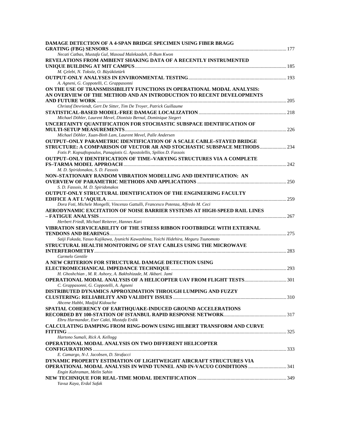| <b>DAMAGE DETECTION OF A 4-SPAN BRIDGE SPECIMEN USING FIBER BRAGG</b>                                         |  |
|---------------------------------------------------------------------------------------------------------------|--|
|                                                                                                               |  |
| Necati Catbas, Mustafa Gul, Masoud Malekzadeh, Il-Bum Kwon                                                    |  |
| REVELATIONS FROM AMBIENT SHAKING DATA OF A RECENTLY INSTRUMENTED                                              |  |
| M. Çelebi, N. Toksöz, O. Büyüköztürk                                                                          |  |
|                                                                                                               |  |
| A. Agneni, G. Coppotelli, C. Grappasonni                                                                      |  |
| ON THE USE OF TRANSMISSIBILITY FUNCTIONS IN OPERATIONAL MODAL ANALYSIS:                                       |  |
| AN OVERVIEW OF THE METHOD AND AN INTRODUCTION TO RECENT DEVELOPMENTS                                          |  |
|                                                                                                               |  |
| Christof Devriendt, Gert De Sitter, Tim De Troyer, Patrick Guillaume                                          |  |
|                                                                                                               |  |
| Michael Döhler, Laurent Mevel, Dionisio Bernal, Dominique Siegert                                             |  |
| UNCERTAINTY QUANTIFICATION FOR STOCHASTIC SUBSPACE IDENTIFICATION OF                                          |  |
|                                                                                                               |  |
| Michael Döhler, Xuan-Binh Lam, Laurent Mevel, Palle Andersen                                                  |  |
| <b>OUTPUT-ONLY PARAMETRIC IDENTIFICATION OF A SCALE CABLE-STAYED BRIDGE</b>                                   |  |
| STRUCTURE: A COMPARISON OF VECTOR AR AND STOCHASTIC SUBSPACE METHODS                                          |  |
| Fotis P. Kopsaftopoulos, Panagiotis G. Apostolellis, Spilios D. Fassois                                       |  |
| <b>OUTPUT-ONLY IDENTIFICATION OF TIME-VARYING STRUCTURES VIA A COMPLETE</b>                                   |  |
|                                                                                                               |  |
| M. D. Spiridonakos, S. D. Fassois                                                                             |  |
| NON-STATIONARY RANDOM VIBRATION MODELLING AND IDENTIFICATION: AN                                              |  |
|                                                                                                               |  |
| S. D. Fassois, M. D. Spiridonakos                                                                             |  |
| <b>OUTPUT-ONLY STRUCTURAL IDENTIFICATION OF THE ENGINEERING FACULTY</b>                                       |  |
|                                                                                                               |  |
| Dora Foti, Michele Mongelli, Vincenzo Gattulli, Francesco Potenza, Alfredo M. Ceci                            |  |
| AERODYNAMIC EXCITATION OF NOISE BARRIER SYSTEMS AT HIGH-SPEED RAIL LINES                                      |  |
|                                                                                                               |  |
| Herbert Friedl, Michael Reiterer, Hannes Kari                                                                 |  |
| VIBRATION SERVICEABILITY OF THE STRESS RIBBON FOOTBRIDGE WITH EXTERNAL                                        |  |
| Saiji Fukada, Yasuo Kajikawa, Jyunichi Kawashima, Yoichi Hidehira, Meguru Tsunomoto                           |  |
| STRUCTURAL HEALTH MONITORING OF STAY CABLES USING THE MICROWAVE                                               |  |
|                                                                                                               |  |
| Carmelo Gentile                                                                                               |  |
| A NEW CRITERION FOR STRUCTURAL DAMAGE DETECTION USING                                                         |  |
|                                                                                                               |  |
| H. Ghoshchian, M. R. Ashory, A. Bakhshizade, M. Akbari. Jami                                                  |  |
|                                                                                                               |  |
| C. Grappasonni, G. Coppotelli, A. Agneni                                                                      |  |
| DISTRIBUTED DYNAMICS APPROXIMATION THROUGH LUMPING AND FUZZY                                                  |  |
|                                                                                                               |  |
| Ahcene Habbi, Madjid Kidouche                                                                                 |  |
| SPATIAL COHERENCY OF EARTHQUAKE-INDUCED GROUND ACCELERATIONS                                                  |  |
|                                                                                                               |  |
| Ebru Harmandar, Eser Cakti, Mustafa Erdik                                                                     |  |
| CALCULATING DAMPING FROM RING-DOWN USING HILBERT TRANSFORM AND CURVE                                          |  |
|                                                                                                               |  |
| Hartono Sumali, Rick A. Kellogg                                                                               |  |
| OPERATIONAL MODAL ANALYSIS ON TWO DIFFERENT HELICOPTER                                                        |  |
|                                                                                                               |  |
| E. Camargo, N-J. Jacobsen, D. Strafacci<br>DYNAMIC PROPERTY ESTIMATION OF LIGHTWEIGHT AIRCRAFT STRUCTURES VIA |  |
| <b>OPERATIONAL MODAL ANALYSIS IN WIND TUNNEL AND IN-VACUO CONDITIONS </b> 341                                 |  |
| Engin Kahraman, Melin Sahin                                                                                   |  |
|                                                                                                               |  |
| Yavuz Kaya, Erdal Safak                                                                                       |  |
|                                                                                                               |  |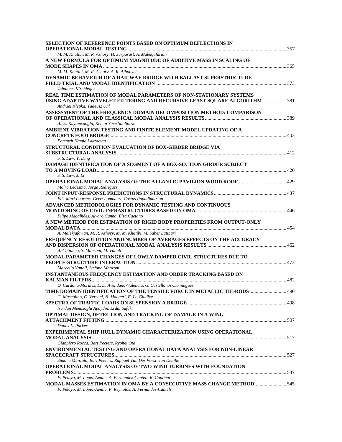| <b>SELECTION OF REFERENCE POINTS BASED ON OPTIMUM DEFLECTIONS IN</b>                                     |  |
|----------------------------------------------------------------------------------------------------------|--|
|                                                                                                          |  |
| M. M. Khatibi, M. R. Ashory, H. Sarparast, A. Malekjafarian                                              |  |
| A NEW FORMULA FOR OPTIMUM MAGNITUDE OF ADDITIVE MASS IN SCALING OF                                       |  |
|                                                                                                          |  |
| M. M. Khatibi, M. R. Ashory, A. R. Albooyeh                                                              |  |
| <b>DYNAMIC BEHAVIOUR OF A RAILWAY BRIDGE WITH BALLAST SUPERSTRUCTURE -</b>                               |  |
|                                                                                                          |  |
| Johannes Kirchhofer                                                                                      |  |
| REAL TIME ESTIMATION OF MODAL PARAMETERS OF NON-STATIONARY SYSTEMS                                       |  |
| USING ADAPTIVE WAVELET FILTERING AND RECURSIVE LEAST SQUARE ALGORITHM 381<br>Andrzej Klepka, Tadeusz Uhl |  |
| ASSESSMENT OF THE FREQUENCY DOMAIN DECOMPOSITION METHOD: COMPARISON                                      |  |
|                                                                                                          |  |
| Aleks Kuyumcuoglu, Kenan Yuce Sanliturk                                                                  |  |
| AMBIENT VIBRATION TESTING AND FINITE ELEMENT MODEL UPDATING OF A                                         |  |
|                                                                                                          |  |
| Fatemeh Hamid Lakzaeian                                                                                  |  |
| STRUCTURAL CONDITION EVALUATION OF BOX-GIRDER BRIDGE VIA                                                 |  |
|                                                                                                          |  |
| S. S. Law, Y. Ding                                                                                       |  |
| DAMAGE IDENTIFICATION OF A SEGMENT OF A BOX-SECTION GIRDER SUBJECT                                       |  |
|                                                                                                          |  |
| S. S. Law, J. Li                                                                                         |  |
|                                                                                                          |  |
| Maíra Ledesma, Jorge Rodrigues                                                                           |  |
|                                                                                                          |  |
| Eliz-Mari Lourens, Geert Lombaert, Costas Papadimitriou                                                  |  |
| ADVANCED METHODOLOGIES FOR DYNAMIC TESTING AND CONTINUOUS                                                |  |
|                                                                                                          |  |
| Filipe Magalhães, Álvaro Cunha, Elsa Caetano                                                             |  |
| A NEW METHOD FOR ESTIMATION OF RIGID BODY PROPERTIES FROM OUTPUT-ONLY                                    |  |
|                                                                                                          |  |
| A. Malekjafarian, M. R. Ashory, M. M. Khatibi, M. Saber Latibari                                         |  |
| FREQUENCY RESOLUTION AND NUMBER OF AVERAGES EFFECTS ON THE ACCURACY                                      |  |
|                                                                                                          |  |
| A. Cattaneo, S. Manzoni, M. Vanali                                                                       |  |
| <b>MODAL PARAMETER CHANGES OF LOWLY DAMPED CIVIL STRUCTURES DUE TO</b>                                   |  |
|                                                                                                          |  |
| Marcello Vanali, Stefano Manzoni                                                                         |  |
| <b>INSTANTANEOUS FREQUENCY ESTIMATION AND ORDER TRACKING BASED ON</b>                                    |  |
| O. Cardona-Morales, L. D. Avendano-Valencia, G. Castellanos-Domínguez                                    |  |
| TIME DOMAIN IDENTIFICATION OF THE TENSILE FORCE IN METALLIC TIE-RODS  490                                |  |
|                                                                                                          |  |
| G. Muscolino, C. Versaci, N. Maugeri, E. Lo Giudice                                                      |  |
| Nurdan Memisoglu Apaydin, Erdal Safak                                                                    |  |
| OPTIMAL DESIGN, DETECTION AND TRACKING OF DAMAGE IN A WING                                               |  |
|                                                                                                          |  |
| Danny L. Parker                                                                                          |  |
| EXPERIMENTAL SHIP HULL DYNAMIC CHARACTERIZATION USING OPERATIONAL                                        |  |
|                                                                                                          |  |
| Gianpiero Rocca, Bart Peeters, Ryohei Ota                                                                |  |
| ENVIRONMENTAL TESTING AND OPERATIONAL DATA ANALYSIS FOR NON-LINEAR                                       |  |
|                                                                                                          |  |
| Simone Manzato, Bart Peeters, Raphaël Van Der Vorst, Jan Debille                                         |  |
| OPERATIONAL MODAL ANALYSIS OF TWO WIND TURBINES WITH FOUNDATION                                          |  |
|                                                                                                          |  |
| F. Pelayo, M. López-Aenlle, A. Fernández-Canteli, R. Cantieni                                            |  |
| MODAL MASSES ESTIMATION IN OMA BY A CONSECUTIVE MASS CHANGE METHOD 545                                   |  |
| F. Pelayo, M. López-Aenlle, P. Reynolds, A. Fernández-Canteli                                            |  |
|                                                                                                          |  |